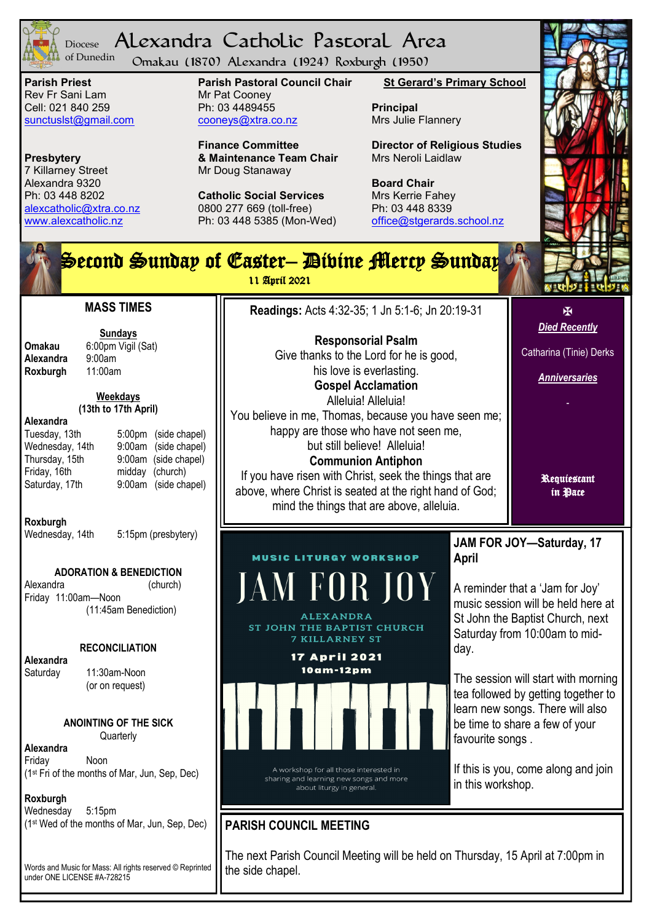

#### Alexandra Catholic Pastoral Area Diocese of Dunedin

Omakau (1870) Alexandra (1924) Roxburgh (1950)

**Parish Priest** Rev Fr Sani Lam Cell: 021 840 259 [sunctuslst@gmail.com](mailto:mailto:sunctuslst@gmail.com)

**Presbytery** 7 Killarney Street Alexandra 9320 Ph: 03 448 8202 [alexcatholic@xtra.co.nz](mailto:mailto:alexcatholic@xtra.co.nz) www.alexcatholic.nz

**Parish Pastoral Council Chair** Mr Pat Cooney Ph: 03 4489455 cooneys@xtra.co.nz

**Finance Committee & Maintenance Team Chair** Mr Doug Stanaway

**Catholic Social Services**  0800 277 669 (toll-free) Ph: 03 448 5385 (Mon-Wed) **St Gerard's Primary School**

**Principal** Mrs Julie Flannery

**Director of Religious Studies** Mrs Neroli Laidlaw

**Board Chair** Mrs Kerrie Fahey Ph: 03 448 8339 [office@stgerards.school.nz](mailto:mailto:office@stgerards.school.nz)





Alexandra

#### **Roxburgh**

Friday 11:00am—Noon

**Alexandra** 

Friday Noon (1st Fri of the months of Mar, Jun, Sep, Dec)

**Roxburgh**

Words and Music for Mass: All rights reserved © Reprinted under ONE LICENSE #A-728215

The next Parish Council Meeting will be held on Thursday, 15 April at 7:00pm in the side chapel.

# **JAM FOR JOY—Saturday, 17**

A reminder that a "Jam for Joy" music session will be held here at St John the Baptist Church, next Saturday from 10:00am to mid-

The session will start with morning tea followed by getting together to learn new songs. There will also be time to share a few of your

If this is you, come along and join